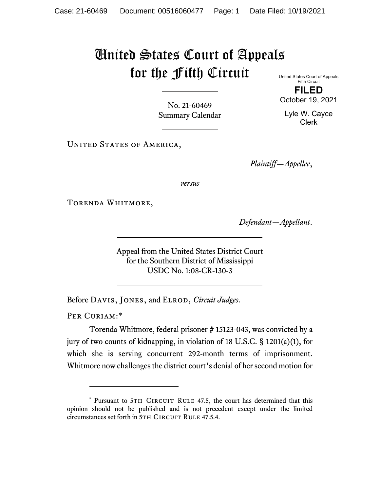## United States Court of Appeals for the Fifth Circuit

United States Court of Appeals Fifth Circuit **FILED**

October 19, 2021

Lyle W. Cayce Clerk

No. 21-60469 Summary Calendar

UNITED STATES OF AMERICA,

*Plaintiff—Appellee*,

*versus*

Torenda Whitmore,

*Defendant—Appellant*.

Appeal from the United States District Court for the Southern District of Mississippi USDC No. 1:08-CR-130-3

Before Davis, Jones, and Elrod, *Circuit Judges*.

PER CURIAM:[\\*](#page-0-0)

Torenda Whitmore, federal prisoner # 15123-043, was convicted by a jury of two counts of kidnapping, in violation of 18 U.S.C. § 1201(a)(1), for which she is serving concurrent 292-month terms of imprisonment. Whitmore now challenges the district court's denial of her second motion for

<span id="page-0-0"></span><sup>\*</sup> Pursuant to 5TH CIRCUIT RULE 47.5, the court has determined that this opinion should not be published and is not precedent except under the limited circumstances set forth in 5TH CIRCUIT RULE 47.5.4.